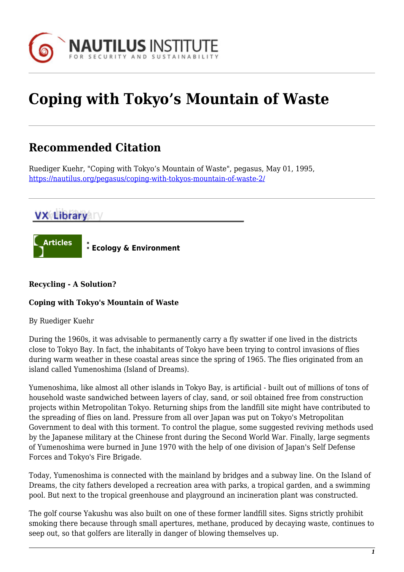

# **Coping with Tokyo's Mountain of Waste**

# **Recommended Citation**

Ruediger Kuehr, "Coping with Tokyo's Mountain of Waste", pegasus, May 01, 1995, <https://nautilus.org/pegasus/coping-with-tokyos-mountain-of-waste-2/>

# **VX Library TV**



# **Recycling - A Solution?**

# **Coping with Tokyo's Mountain of Waste**

By Ruediger Kuehr

During the 1960s, it was advisable to permanently carry a fly swatter if one lived in the districts close to Tokyo Bay. In fact, the inhabitants of Tokyo have been trying to control invasions of flies during warm weather in these coastal areas since the spring of 1965. The flies originated from an island called Yumenoshima (Island of Dreams).

Yumenoshima, like almost all other islands in Tokyo Bay, is artificial - built out of millions of tons of household waste sandwiched between layers of clay, sand, or soil obtained free from construction projects within Metropolitan Tokyo. Returning ships from the landfill site might have contributed to the spreading of flies on land. Pressure from all over Japan was put on Tokyo's Metropolitan Government to deal with this torment. To control the plague, some suggested reviving methods used by the Japanese military at the Chinese front during the Second World War. Finally, large segments of Yumenoshima were burned in June 1970 with the help of one division of Japan's Self Defense Forces and Tokyo's Fire Brigade.

Today, Yumenoshima is connected with the mainland by bridges and a subway line. On the Island of Dreams, the city fathers developed a recreation area with parks, a tropical garden, and a swimming pool. But next to the tropical greenhouse and playground an incineration plant was constructed.

The golf course Yakushu was also built on one of these former landfill sites. Signs strictly prohibit smoking there because through small apertures, methane, produced by decaying waste, continues to seep out, so that golfers are literally in danger of blowing themselves up.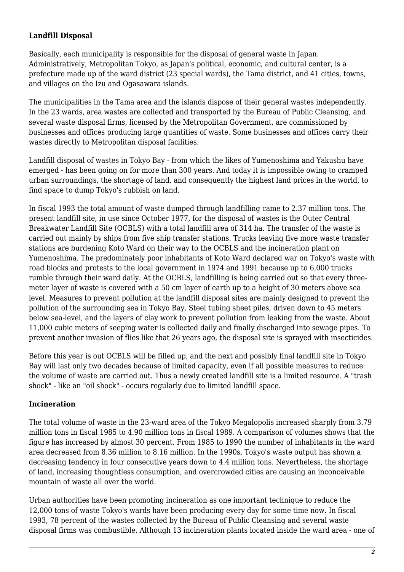# **Landfill Disposal**

Basically, each municipality is responsible for the disposal of general waste in Japan. Administratively, Metropolitan Tokyo, as Japan's political, economic, and cultural center, is a prefecture made up of the ward district (23 special wards), the Tama district, and 41 cities, towns, and villages on the Izu and Ogasawara islands.

The municipalities in the Tama area and the islands dispose of their general wastes independently. In the 23 wards, area wastes are collected and transported by the Bureau of Public Cleansing, and several waste disposal firms, licensed by the Metropolitan Government, are commissioned by businesses and offices producing large quantities of waste. Some businesses and offices carry their wastes directly to Metropolitan disposal facilities.

Landfill disposal of wastes in Tokyo Bay - from which the likes of Yumenoshima and Yakushu have emerged - has been going on for more than 300 years. And today it is impossible owing to cramped urban surroundings, the shortage of land, and consequently the highest land prices in the world, to find space to dump Tokyo's rubbish on land.

In fiscal 1993 the total amount of waste dumped through landfilling came to 2.37 million tons. The present landfill site, in use since October 1977, for the disposal of wastes is the Outer Central Breakwater Landfill Site (OCBLS) with a total landfill area of 314 ha. The transfer of the waste is carried out mainly by ships from five ship transfer stations. Trucks leaving five more waste transfer stations are burdening Koto Ward on their way to the OCBLS and the incineration plant on Yumenoshima. The predominately poor inhabitants of Koto Ward declared war on Tokyo's waste with road blocks and protests to the local government in 1974 and 1991 because up to 6,000 trucks rumble through their ward daily. At the OCBLS, landfilling is being carried out so that every threemeter layer of waste is covered with a 50 cm layer of earth up to a height of 30 meters above sea level. Measures to prevent pollution at the landfill disposal sites are mainly designed to prevent the pollution of the surrounding sea in Tokyo Bay. Steel tubing sheet piles, driven down to 45 meters below sea-level, and the layers of clay work to prevent pollution from leaking from the waste. About 11,000 cubic meters of seeping water is collected daily and finally discharged into sewage pipes. To prevent another invasion of flies like that 26 years ago, the disposal site is sprayed with insecticides.

Before this year is out OCBLS will be filled up, and the next and possibly final landfill site in Tokyo Bay will last only two decades because of limited capacity, even if all possible measures to reduce the volume of waste are carried out. Thus a newly created landfill site is a limited resource. A "trash shock" - like an "oil shock" - occurs regularly due to limited landfill space.

# **Incineration**

The total volume of waste in the 23-ward area of the Tokyo Megalopolis increased sharply from 3.79 million tons in fiscal 1985 to 4.90 million tons in fiscal 1989. A comparison of volumes shows that the figure has increased by almost 30 percent. From 1985 to 1990 the number of inhabitants in the ward area decreased from 8.36 million to 8.16 million. In the 1990s, Tokyo's waste output has shown a decreasing tendency in four consecutive years down to 4.4 million tons. Nevertheless, the shortage of land, increasing thoughtless consumption, and overcrowded cities are causing an inconceivable mountain of waste all over the world.

Urban authorities have been promoting incineration as one important technique to reduce the 12,000 tons of waste Tokyo's wards have been producing every day for some time now. In fiscal 1993, 78 percent of the wastes collected by the Bureau of Public Cleansing and several waste disposal firms was combustible. Although 13 incineration plants located inside the ward area - one of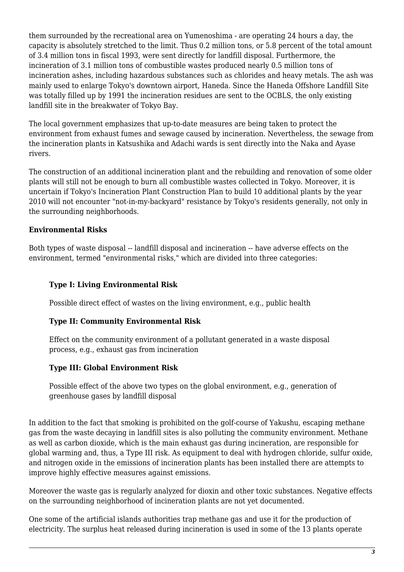them surrounded by the recreational area on Yumenoshima - are operating 24 hours a day, the capacity is absolutely stretched to the limit. Thus 0.2 million tons, or 5.8 percent of the total amount of 3.4 million tons in fiscal 1993, were sent directly for landfill disposal. Furthermore, the incineration of 3.1 million tons of combustible wastes produced nearly 0.5 million tons of incineration ashes, including hazardous substances such as chlorides and heavy metals. The ash was mainly used to enlarge Tokyo's downtown airport, Haneda. Since the Haneda Offshore Landfill Site was totally filled up by 1991 the incineration residues are sent to the OCBLS, the only existing landfill site in the breakwater of Tokyo Bay.

The local government emphasizes that up-to-date measures are being taken to protect the environment from exhaust fumes and sewage caused by incineration. Nevertheless, the sewage from the incineration plants in Katsushika and Adachi wards is sent directly into the Naka and Ayase rivers.

The construction of an additional incineration plant and the rebuilding and renovation of some older plants will still not be enough to burn all combustible wastes collected in Tokyo. Moreover, it is uncertain if Tokyo's Incineration Plant Construction Plan to build 10 additional plants by the year 2010 will not encounter "not-in-my-backyard" resistance by Tokyo's residents generally, not only in the surrounding neighborhoods.

# **Environmental Risks**

Both types of waste disposal -- landfill disposal and incineration -- have adverse effects on the environment, termed "environmental risks," which are divided into three categories:

#### **Type I: Living Environmental Risk**

Possible direct effect of wastes on the living environment, e.g., public health

#### **Type II: Community Environmental Risk**

Effect on the community environment of a pollutant generated in a waste disposal process, e.g., exhaust gas from incineration

# **Type III: Global Environment Risk**

Possible effect of the above two types on the global environment, e.g., generation of greenhouse gases by landfill disposal

In addition to the fact that smoking is prohibited on the golf-course of Yakushu, escaping methane gas from the waste decaying in landfill sites is also polluting the community environment. Methane as well as carbon dioxide, which is the main exhaust gas during incineration, are responsible for global warming and, thus, a Type III risk. As equipment to deal with hydrogen chloride, sulfur oxide, and nitrogen oxide in the emissions of incineration plants has been installed there are attempts to improve highly effective measures against emissions.

Moreover the waste gas is regularly analyzed for dioxin and other toxic substances. Negative effects on the surrounding neighborhood of incineration plants are not yet documented.

One some of the artificial islands authorities trap methane gas and use it for the production of electricity. The surplus heat released during incineration is used in some of the 13 plants operate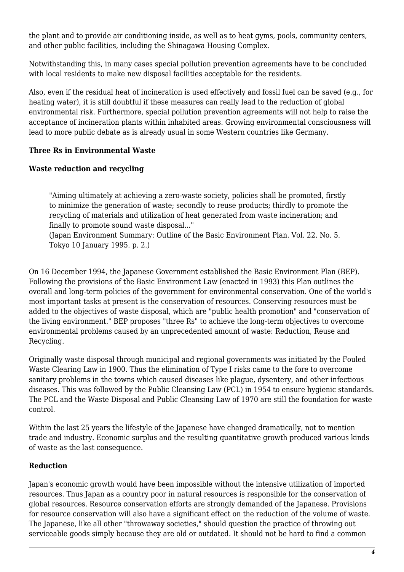the plant and to provide air conditioning inside, as well as to heat gyms, pools, community centers, and other public facilities, including the Shinagawa Housing Complex.

Notwithstanding this, in many cases special pollution prevention agreements have to be concluded with local residents to make new disposal facilities acceptable for the residents.

Also, even if the residual heat of incineration is used effectively and fossil fuel can be saved (e.g., for heating water), it is still doubtful if these measures can really lead to the reduction of global environmental risk. Furthermore, special pollution prevention agreements will not help to raise the acceptance of incineration plants within inhabited areas. Growing environmental consciousness will lead to more public debate as is already usual in some Western countries like Germany.

# **Three Rs in Environmental Waste**

# **Waste reduction and recycling**

"Aiming ultimately at achieving a zero-waste society, policies shall be promoted, firstly to minimize the generation of waste; secondly to reuse products; thirdly to promote the recycling of materials and utilization of heat generated from waste incineration; and finally to promote sound waste disposal..."

(Japan Environment Summary: Outline of the Basic Environment Plan. Vol. 22. No. 5. Tokyo 10 January 1995. p. 2.)

On 16 December 1994, the Japanese Government established the Basic Environment Plan (BEP). Following the provisions of the Basic Environment Law (enacted in 1993) this Plan outlines the overall and long-term policies of the government for environmental conservation. One of the world's most important tasks at present is the conservation of resources. Conserving resources must be added to the objectives of waste disposal, which are "public health promotion" and "conservation of the living environment." BEP proposes "three Rs" to achieve the long-term objectives to overcome environmental problems caused by an unprecedented amount of waste: Reduction, Reuse and Recycling.

Originally waste disposal through municipal and regional governments was initiated by the Fouled Waste Clearing Law in 1900. Thus the elimination of Type I risks came to the fore to overcome sanitary problems in the towns which caused diseases like plague, dysentery, and other infectious diseases. This was followed by the Public Cleansing Law (PCL) in 1954 to ensure hygienic standards. The PCL and the Waste Disposal and Public Cleansing Law of 1970 are still the foundation for waste control.

Within the last 25 years the lifestyle of the Japanese have changed dramatically, not to mention trade and industry. Economic surplus and the resulting quantitative growth produced various kinds of waste as the last consequence.

# **Reduction**

Japan's economic growth would have been impossible without the intensive utilization of imported resources. Thus Japan as a country poor in natural resources is responsible for the conservation of global resources. Resource conservation efforts are strongly demanded of the Japanese. Provisions for resource conservation will also have a significant effect on the reduction of the volume of waste. The Japanese, like all other "throwaway societies," should question the practice of throwing out serviceable goods simply because they are old or outdated. It should not be hard to find a common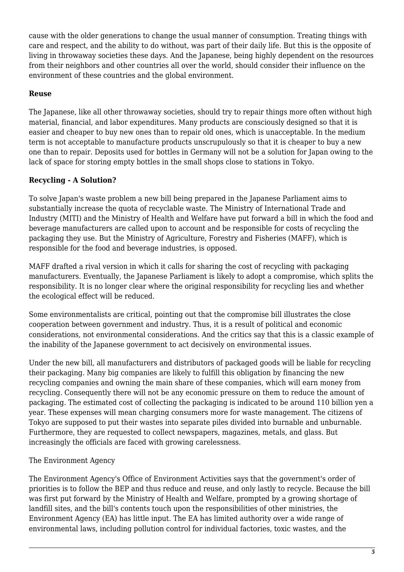cause with the older generations to change the usual manner of consumption. Treating things with care and respect, and the ability to do without, was part of their daily life. But this is the opposite of living in throwaway societies these days. And the Japanese, being highly dependent on the resources from their neighbors and other countries all over the world, should consider their influence on the environment of these countries and the global environment.

# **Reuse**

The Japanese, like all other throwaway societies, should try to repair things more often without high material, financial, and labor expenditures. Many products are consciously designed so that it is easier and cheaper to buy new ones than to repair old ones, which is unacceptable. In the medium term is not acceptable to manufacture products unscrupulously so that it is cheaper to buy a new one than to repair. Deposits used for bottles in Germany will not be a solution for Japan owing to the lack of space for storing empty bottles in the small shops close to stations in Tokyo.

# **Recycling - A Solution?**

To solve Japan's waste problem a new bill being prepared in the Japanese Parliament aims to substantially increase the quota of recyclable waste. The Ministry of International Trade and Industry (MITI) and the Ministry of Health and Welfare have put forward a bill in which the food and beverage manufacturers are called upon to account and be responsible for costs of recycling the packaging they use. But the Ministry of Agriculture, Forestry and Fisheries (MAFF), which is responsible for the food and beverage industries, is opposed.

MAFF drafted a rival version in which it calls for sharing the cost of recycling with packaging manufacturers. Eventually, the Japanese Parliament is likely to adopt a compromise, which splits the responsibility. It is no longer clear where the original responsibility for recycling lies and whether the ecological effect will be reduced.

Some environmentalists are critical, pointing out that the compromise bill illustrates the close cooperation between government and industry. Thus, it is a result of political and economic considerations, not environmental considerations. And the critics say that this is a classic example of the inability of the Japanese government to act decisively on environmental issues.

Under the new bill, all manufacturers and distributors of packaged goods will be liable for recycling their packaging. Many big companies are likely to fulfill this obligation by financing the new recycling companies and owning the main share of these companies, which will earn money from recycling. Consequently there will not be any economic pressure on them to reduce the amount of packaging. The estimated cost of collecting the packaging is indicated to be around 110 billion yen a year. These expenses will mean charging consumers more for waste management. The citizens of Tokyo are supposed to put their wastes into separate piles divided into burnable and unburnable. Furthermore, they are requested to collect newspapers, magazines, metals, and glass. But increasingly the officials are faced with growing carelessness.

# The Environment Agency

The Environment Agency's Office of Environment Activities says that the government's order of priorities is to follow the BEP and thus reduce and reuse, and only lastly to recycle. Because the bill was first put forward by the Ministry of Health and Welfare, prompted by a growing shortage of landfill sites, and the bill's contents touch upon the responsibilities of other ministries, the Environment Agency (EA) has little input. The EA has limited authority over a wide range of environmental laws, including pollution control for individual factories, toxic wastes, and the